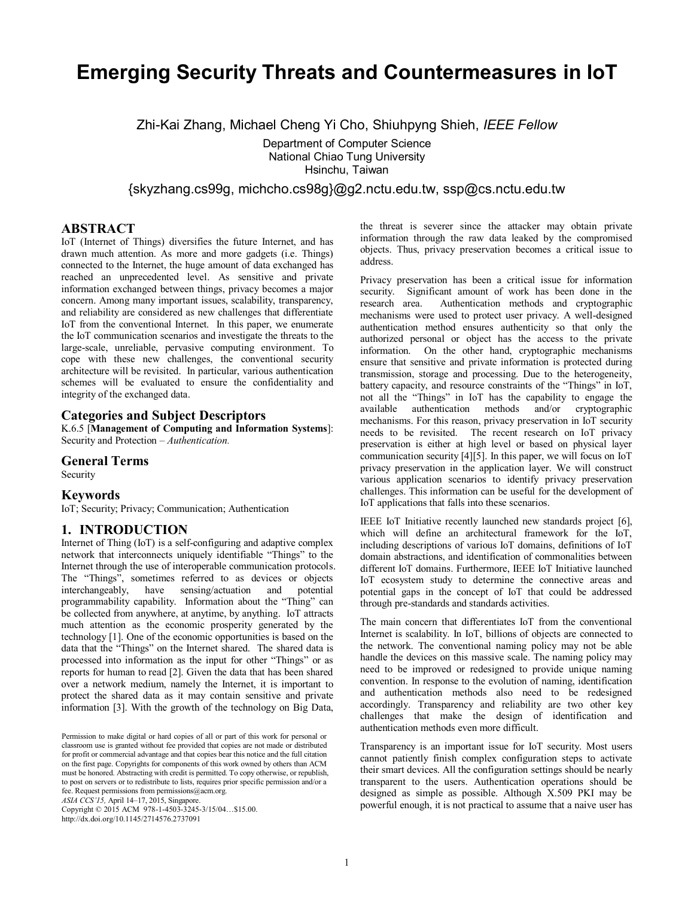# **Emerging Security Threats and Countermeasures in IoT**

Zhi-Kai Zhang, Michael Cheng Yi Cho, Shiuhpyng Shieh, *IEEE Fellow* 

Department of Computer Science National Chiao Tung University Hsinchu, Taiwan

{skyzhang.cs99g, michcho.cs98g}@g2.nctu.edu.tw, ssp@cs.nctu.edu.tw

# **ABSTRACT**

IoT (Internet of Things) diversifies the future Internet, and has drawn much attention. As more and more gadgets (i.e. Things) connected to the Internet, the huge amount of data exchanged has reached an unprecedented level. As sensitive and private information exchanged between things, privacy becomes a major concern. Among many important issues, scalability, transparency, and reliability are considered as new challenges that differentiate IoT from the conventional Internet. In this paper, we enumerate the IoT communication scenarios and investigate the threats to the large-scale, unreliable, pervasive computing environment. To cope with these new challenges, the conventional security architecture will be revisited. In particular, various authentication schemes will be evaluated to ensure the confidentiality and integrity of the exchanged data.

# **Categories and Subject Descriptors**

K.6.5 [**Management of Computing and Information Systems**]: Security and Protection – *Authentication.* 

### **General Terms**

Security

#### **Keywords**

IoT; Security; Privacy; Communication; Authentication

# **1. INTRODUCTION**

Internet of Thing (IoT) is a self-configuring and adaptive complex network that interconnects uniquely identifiable "Things" to the Internet through the use of interoperable communication protocols. The "Things", sometimes referred to as devices or objects interchangeably, have sensing/actuation and potential programmability capability. Information about the "Thing" can be collected from anywhere, at anytime, by anything. IoT attracts much attention as the economic prosperity generated by the technology [1]. One of the economic opportunities is based on the data that the "Things" on the Internet shared. The shared data is processed into information as the input for other "Things" or as reports for human to read [2]. Given the data that has been shared over a network medium, namely the Internet, it is important to protect the shared data as it may contain sensitive and private information [3]. With the growth of the technology on Big Data,

*ASIA CCS'15,* April 14–17, 2015, Singapore.

Copyright © 2015 ACM 978-1-4503-3245-3/15/04…\$15.00.

http://dx.doi.org/10.1145/2714576.2737091

the threat is severer since the attacker may obtain private information through the raw data leaked by the compromised objects. Thus, privacy preservation becomes a critical issue to address.

Privacy preservation has been a critical issue for information security. Significant amount of work has been done in the research area. Authentication methods and cryptographic mechanisms were used to protect user privacy. A well-designed authentication method ensures authenticity so that only the authorized personal or object has the access to the private information. On the other hand, cryptographic mechanisms ensure that sensitive and private information is protected during transmission, storage and processing. Due to the heterogeneity, battery capacity, and resource constraints of the "Things" in IoT, not all the "Things" in IoT has the capability to engage the available authentication methods and/or cryptographic mechanisms. For this reason, privacy preservation in IoT security needs to be revisited. The recent research on IoT privacy preservation is either at high level or based on physical layer communication security [4][5]. In this paper, we will focus on IoT privacy preservation in the application layer. We will construct various application scenarios to identify privacy preservation challenges. This information can be useful for the development of IoT applications that falls into these scenarios.

IEEE IoT Initiative recently launched new standards project [6], which will define an architectural framework for the IoT, including descriptions of various IoT domains, definitions of IoT domain abstractions, and identification of commonalities between different IoT domains. Furthermore, IEEE IoT Initiative launched IoT ecosystem study to determine the connective areas and potential gaps in the concept of IoT that could be addressed through pre-standards and standards activities.

The main concern that differentiates IoT from the conventional Internet is scalability. In IoT, billions of objects are connected to the network. The conventional naming policy may not be able handle the devices on this massive scale. The naming policy may need to be improved or redesigned to provide unique naming convention. In response to the evolution of naming, identification and authentication methods also need to be redesigned accordingly. Transparency and reliability are two other key challenges that make the design of identification and authentication methods even more difficult.

Transparency is an important issue for IoT security. Most users cannot patiently finish complex configuration steps to activate their smart devices. All the configuration settings should be nearly transparent to the users. Authentication operations should be designed as simple as possible. Although X.509 PKI may be powerful enough, it is not practical to assume that a naive user has

Permission to make digital or hard copies of all or part of this work for personal or classroom use is granted without fee provided that copies are not made or distributed for profit or commercial advantage and that copies bear this notice and the full citation on the first page. Copyrights for components of this work owned by others than ACM must be honored. Abstracting with credit is permitted. To copy otherwise, or republish, to post on servers or to redistribute to lists, requires prior specific permission and/or a fee. Request permissions from permissions  $\omega$  acm.org.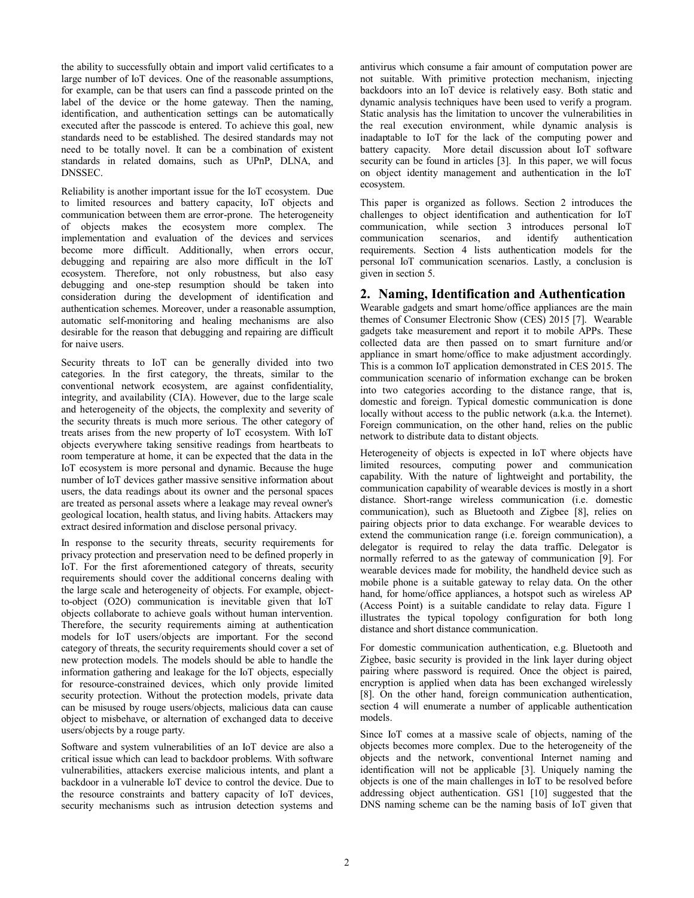the ability to successfully obtain and import valid certificates to a large number of IoT devices. One of the reasonable assumptions, for example, can be that users can find a passcode printed on the label of the device or the home gateway. Then the naming, identification, and authentication settings can be automatically executed after the passcode is entered. To achieve this goal, new standards need to be established. The desired standards may not need to be totally novel. It can be a combination of existent standards in related domains, such as UPnP, DLNA, and DNSSEC.

Reliability is another important issue for the IoT ecosystem. Due to limited resources and battery capacity, IoT objects and communication between them are error-prone. The heterogeneity of objects makes the ecosystem more complex. The implementation and evaluation of the devices and services become more difficult. Additionally, when errors occur, debugging and repairing are also more difficult in the IoT ecosystem. Therefore, not only robustness, but also easy debugging and one-step resumption should be taken into consideration during the development of identification and authentication schemes. Moreover, under a reasonable assumption, automatic self-monitoring and healing mechanisms are also desirable for the reason that debugging and repairing are difficult for naive users.

Security threats to IoT can be generally divided into two categories. In the first category, the threats, similar to the conventional network ecosystem, are against confidentiality, integrity, and availability (CIA). However, due to the large scale and heterogeneity of the objects, the complexity and severity of the security threats is much more serious. The other category of treats arises from the new property of IoT ecosystem. With IoT objects everywhere taking sensitive readings from heartbeats to room temperature at home, it can be expected that the data in the IoT ecosystem is more personal and dynamic. Because the huge number of IoT devices gather massive sensitive information about users, the data readings about its owner and the personal spaces are treated as personal assets where a leakage may reveal owner's geological location, health status, and living habits. Attackers may extract desired information and disclose personal privacy.

In response to the security threats, security requirements for privacy protection and preservation need to be defined properly in IoT. For the first aforementioned category of threats, security requirements should cover the additional concerns dealing with the large scale and heterogeneity of objects. For example, objectto-object (O2O) communication is inevitable given that IoT objects collaborate to achieve goals without human intervention. Therefore, the security requirements aiming at authentication models for IoT users/objects are important. For the second category of threats, the security requirements should cover a set of new protection models. The models should be able to handle the information gathering and leakage for the IoT objects, especially for resource-constrained devices, which only provide limited security protection. Without the protection models, private data can be misused by rouge users/objects, malicious data can cause object to misbehave, or alternation of exchanged data to deceive users/objects by a rouge party.

Software and system vulnerabilities of an IoT device are also a critical issue which can lead to backdoor problems. With software vulnerabilities, attackers exercise malicious intents, and plant a backdoor in a vulnerable IoT device to control the device. Due to the resource constraints and battery capacity of IoT devices, security mechanisms such as intrusion detection systems and

antivirus which consume a fair amount of computation power are not suitable. With primitive protection mechanism, injecting backdoors into an IoT device is relatively easy. Both static and dynamic analysis techniques have been used to verify a program. Static analysis has the limitation to uncover the vulnerabilities in the real execution environment, while dynamic analysis is inadaptable to IoT for the lack of the computing power and battery capacity. More detail discussion about IoT software security can be found in articles [3]. In this paper, we will focus on object identity management and authentication in the IoT ecosystem.

This paper is organized as follows. Section 2 introduces the challenges to object identification and authentication for IoT communication, while section 3 introduces personal IoT communication scenarios, and identify authentication requirements. Section 4 lists authentication models for the personal IoT communication scenarios. Lastly, a conclusion is given in section 5.

# **2. Naming, Identification and Authentication**

Wearable gadgets and smart home/office appliances are the main themes of Consumer Electronic Show (CES) 2015 [7]. Wearable gadgets take measurement and report it to mobile APPs. These collected data are then passed on to smart furniture and/or appliance in smart home/office to make adjustment accordingly. This is a common IoT application demonstrated in CES 2015. The communication scenario of information exchange can be broken into two categories according to the distance range, that is, domestic and foreign. Typical domestic communication is done locally without access to the public network (a.k.a. the Internet). Foreign communication, on the other hand, relies on the public network to distribute data to distant objects.

Heterogeneity of objects is expected in IoT where objects have limited resources, computing power and communication capability. With the nature of lightweight and portability, the communication capability of wearable devices is mostly in a short distance. Short-range wireless communication (i.e. domestic communication), such as Bluetooth and Zigbee [8], relies on pairing objects prior to data exchange. For wearable devices to extend the communication range (i.e. foreign communication), a delegator is required to relay the data traffic. Delegator is normally referred to as the gateway of communication [9]. For wearable devices made for mobility, the handheld device such as mobile phone is a suitable gateway to relay data. On the other hand, for home/office appliances, a hotspot such as wireless AP (Access Point) is a suitable candidate to relay data. Figure 1 illustrates the typical topology configuration for both long distance and short distance communication.

For domestic communication authentication, e.g. Bluetooth and Zigbee, basic security is provided in the link layer during object pairing where password is required. Once the object is paired, encryption is applied when data has been exchanged wirelessly [8]. On the other hand, foreign communication authentication, section 4 will enumerate a number of applicable authentication models.

Since IoT comes at a massive scale of objects, naming of the objects becomes more complex. Due to the heterogeneity of the objects and the network, conventional Internet naming and identification will not be applicable [3]. Uniquely naming the objects is one of the main challenges in IoT to be resolved before addressing object authentication. GS1 [10] suggested that the DNS naming scheme can be the naming basis of IoT given that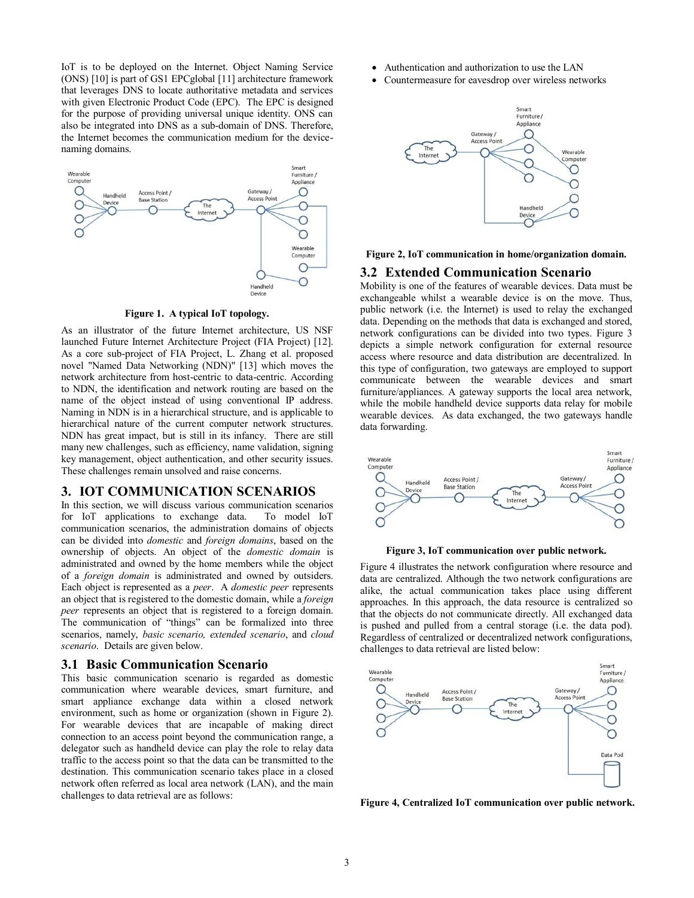IoT is to be deployed on the Internet. Object Naming Service (ONS) [10] is part of GS1 EPCglobal [11] architecture framework that leverages DNS to locate authoritative metadata and services with given Electronic Product Code (EPC). The EPC is designed for the purpose of providing universal unique identity. ONS can also be integrated into DNS as a sub-domain of DNS. Therefore, the Internet becomes the communication medium for the devicenaming domains.



**Figure 1. A typical IoT topology.** 

As an illustrator of the future Internet architecture, US NSF launched Future Internet Architecture Project (FIA Project) [12]. As a core sub-project of FIA Project, L. Zhang et al. proposed novel "Named Data Networking (NDN)" [13] which moves the network architecture from host-centric to data-centric. According to NDN, the identification and network routing are based on the name of the object instead of using conventional IP address. Naming in NDN is in a hierarchical structure, and is applicable to hierarchical nature of the current computer network structures. NDN has great impact, but is still in its infancy. There are still many new challenges, such as efficiency, name validation, signing key management, object authentication, and other security issues. These challenges remain unsolved and raise concerns.

### **3. IOT COMMUNICATION SCENARIOS**

In this section, we will discuss various communication scenarios for IoT applications to exchange data. To model IoT communication scenarios, the administration domains of objects can be divided into *domestic* and *foreign domains*, based on the ownership of objects. An object of the *domestic domain* is administrated and owned by the home members while the object of a *foreign domain* is administrated and owned by outsiders. Each object is represented as a *peer*. A *domestic peer* represents an object that is registered to the domestic domain, while a *foreign peer* represents an object that is registered to a foreign domain. The communication of "things" can be formalized into three scenarios, namely, *basic scenario, extended scenario*, and *cloud scenario*. Details are given below.

#### **3.1 Basic Communication Scenario**

This basic communication scenario is regarded as domestic communication where wearable devices, smart furniture, and smart appliance exchange data within a closed network environment, such as home or organization (shown in Figure 2). For wearable devices that are incapable of making direct connection to an access point beyond the communication range, a delegator such as handheld device can play the role to relay data traffic to the access point so that the data can be transmitted to the destination. This communication scenario takes place in a closed network often referred as local area network (LAN), and the main challenges to data retrieval are as follows:

- Authentication and authorization to use the LAN
- Countermeasure for eavesdrop over wireless networks





#### **3.2 Extended Communication Scenario**

Mobility is one of the features of wearable devices. Data must be exchangeable whilst a wearable device is on the move. Thus, public network (i.e. the Internet) is used to relay the exchanged data. Depending on the methods that data is exchanged and stored, network configurations can be divided into two types. Figure 3 depicts a simple network configuration for external resource access where resource and data distribution are decentralized. In this type of configuration, two gateways are employed to support communicate between the wearable devices and smart furniture/appliances. A gateway supports the local area network, while the mobile handheld device supports data relay for mobile wearable devices. As data exchanged, the two gateways handle data forwarding.



**Figure 3, IoT communication over public network.** 

Figure 4 illustrates the network configuration where resource and data are centralized. Although the two network configurations are alike, the actual communication takes place using different approaches. In this approach, the data resource is centralized so that the objects do not communicate directly. All exchanged data is pushed and pulled from a central storage (i.e. the data pod). Regardless of centralized or decentralized network configurations, challenges to data retrieval are listed below:



**Figure 4, Centralized IoT communication over public network.**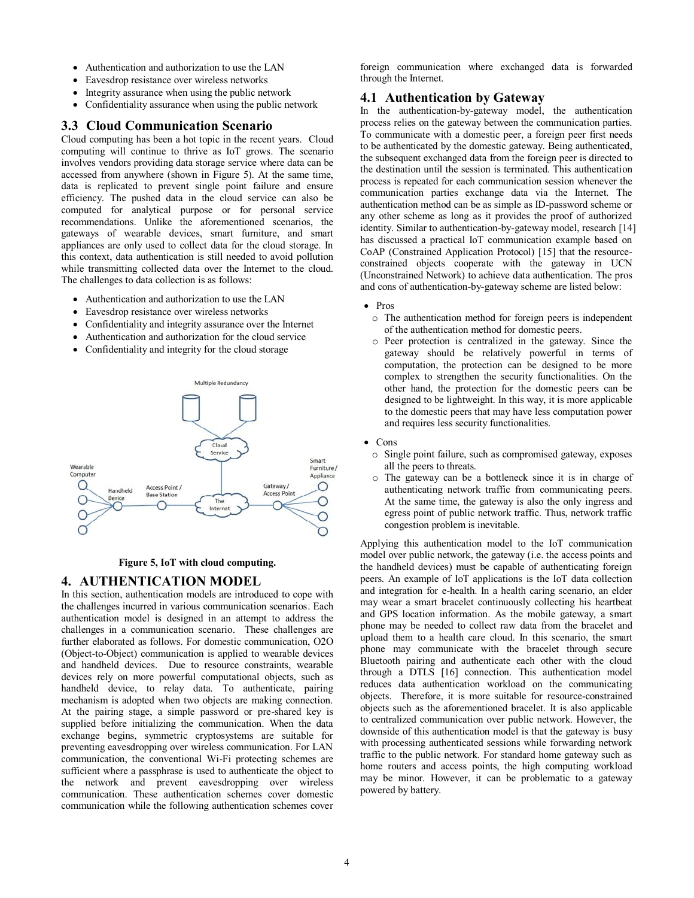- Authentication and authorization to use the LAN
- Eavesdrop resistance over wireless networks
- Integrity assurance when using the public network
- Confidentiality assurance when using the public network

### **3.3 Cloud Communication Scenario**

Cloud computing has been a hot topic in the recent years. Cloud computing will continue to thrive as IoT grows. The scenario involves vendors providing data storage service where data can be accessed from anywhere (shown in Figure 5). At the same time, data is replicated to prevent single point failure and ensure efficiency. The pushed data in the cloud service can also be computed for analytical purpose or for personal service recommendations. Unlike the aforementioned scenarios, the gateways of wearable devices, smart furniture, and smart appliances are only used to collect data for the cloud storage. In this context, data authentication is still needed to avoid pollution while transmitting collected data over the Internet to the cloud. The challenges to data collection is as follows:

- Authentication and authorization to use the LAN
- Eavesdrop resistance over wireless networks
- Confidentiality and integrity assurance over the Internet
- Authentication and authorization for the cloud service
- Confidentiality and integrity for the cloud storage



**Figure 5, IoT with cloud computing.** 

#### **4. AUTHENTICATION MODEL**

In this section, authentication models are introduced to cope with the challenges incurred in various communication scenarios. Each authentication model is designed in an attempt to address the challenges in a communication scenario. These challenges are further elaborated as follows. For domestic communication, O2O (Object-to-Object) communication is applied to wearable devices and handheld devices. Due to resource constraints, wearable devices rely on more powerful computational objects, such as handheld device, to relay data. To authenticate, pairing mechanism is adopted when two objects are making connection. At the pairing stage, a simple password or pre-shared key is supplied before initializing the communication. When the data exchange begins, symmetric cryptosystems are suitable for preventing eavesdropping over wireless communication. For LAN communication, the conventional Wi-Fi protecting schemes are sufficient where a passphrase is used to authenticate the object to the network and prevent eavesdropping over wireless communication. These authentication schemes cover domestic communication while the following authentication schemes cover

foreign communication where exchanged data is forwarded through the Internet.

### **4.1 Authentication by Gateway**

In the authentication-by-gateway model, the authentication process relies on the gateway between the communication parties. To communicate with a domestic peer, a foreign peer first needs to be authenticated by the domestic gateway. Being authenticated, the subsequent exchanged data from the foreign peer is directed to the destination until the session is terminated. This authentication process is repeated for each communication session whenever the communication parties exchange data via the Internet. The authentication method can be as simple as ID-password scheme or any other scheme as long as it provides the proof of authorized identity. Similar to authentication-by-gateway model, research [14] has discussed a practical IoT communication example based on CoAP (Constrained Application Protocol) [15] that the resourceconstrained objects cooperate with the gateway in UCN (Unconstrained Network) to achieve data authentication. The pros and cons of authentication-by-gateway scheme are listed below:

- Pros
	- o The authentication method for foreign peers is independent of the authentication method for domestic peers.
	- o Peer protection is centralized in the gateway. Since the gateway should be relatively powerful in terms of computation, the protection can be designed to be more complex to strengthen the security functionalities. On the other hand, the protection for the domestic peers can be designed to be lightweight. In this way, it is more applicable to the domestic peers that may have less computation power and requires less security functionalities.
- Cons
	- o Single point failure, such as compromised gateway, exposes all the peers to threats.
	- o The gateway can be a bottleneck since it is in charge of authenticating network traffic from communicating peers. At the same time, the gateway is also the only ingress and egress point of public network traffic. Thus, network traffic congestion problem is inevitable.

Applying this authentication model to the IoT communication model over public network, the gateway (i.e. the access points and the handheld devices) must be capable of authenticating foreign peers. An example of IoT applications is the IoT data collection and integration for e-health. In a health caring scenario, an elder may wear a smart bracelet continuously collecting his heartbeat and GPS location information. As the mobile gateway, a smart phone may be needed to collect raw data from the bracelet and upload them to a health care cloud. In this scenario, the smart phone may communicate with the bracelet through secure Bluetooth pairing and authenticate each other with the cloud through a DTLS [16] connection. This authentication model reduces data authentication workload on the communicating objects. Therefore, it is more suitable for resource-constrained objects such as the aforementioned bracelet. It is also applicable to centralized communication over public network. However, the downside of this authentication model is that the gateway is busy with processing authenticated sessions while forwarding network traffic to the public network. For standard home gateway such as home routers and access points, the high computing workload may be minor. However, it can be problematic to a gateway powered by battery.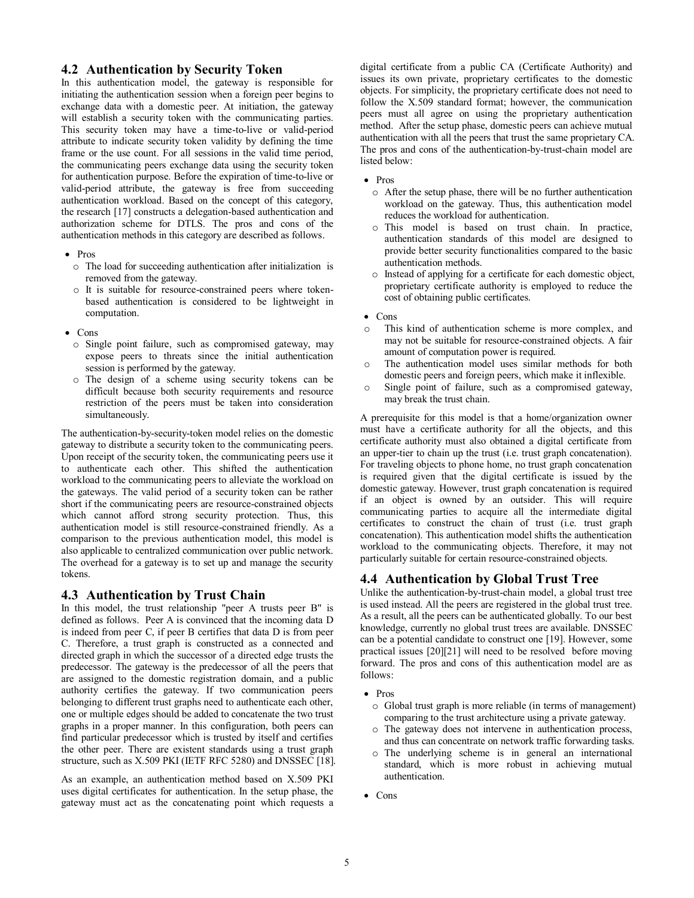# **4.2 Authentication by Security Token**

In this authentication model, the gateway is responsible for initiating the authentication session when a foreign peer begins to exchange data with a domestic peer. At initiation, the gateway will establish a security token with the communicating parties. This security token may have a time-to-live or valid-period attribute to indicate security token validity by defining the time frame or the use count. For all sessions in the valid time period, the communicating peers exchange data using the security token for authentication purpose. Before the expiration of time-to-live or valid-period attribute, the gateway is free from succeeding authentication workload. Based on the concept of this category, the research [17] constructs a delegation-based authentication and authorization scheme for DTLS. The pros and cons of the authentication methods in this category are described as follows.

- Pros
	- o The load for succeeding authentication after initialization is removed from the gateway.
	- o It is suitable for resource-constrained peers where tokenbased authentication is considered to be lightweight in computation.
- Cons
	- o Single point failure, such as compromised gateway, may expose peers to threats since the initial authentication session is performed by the gateway.
	- o The design of a scheme using security tokens can be difficult because both security requirements and resource restriction of the peers must be taken into consideration simultaneously.

The authentication-by-security-token model relies on the domestic gateway to distribute a security token to the communicating peers. Upon receipt of the security token, the communicating peers use it to authenticate each other. This shifted the authentication workload to the communicating peers to alleviate the workload on the gateways. The valid period of a security token can be rather short if the communicating peers are resource-constrained objects which cannot afford strong security protection. Thus, this authentication model is still resource-constrained friendly. As a comparison to the previous authentication model, this model is also applicable to centralized communication over public network. The overhead for a gateway is to set up and manage the security tokens.

#### **4.3 Authentication by Trust Chain**

In this model, the trust relationship "peer A trusts peer B" is defined as follows. Peer A is convinced that the incoming data D is indeed from peer C, if peer B certifies that data D is from peer C. Therefore, a trust graph is constructed as a connected and directed graph in which the successor of a directed edge trusts the predecessor. The gateway is the predecessor of all the peers that are assigned to the domestic registration domain, and a public authority certifies the gateway. If two communication peers belonging to different trust graphs need to authenticate each other, one or multiple edges should be added to concatenate the two trust graphs in a proper manner. In this configuration, both peers can find particular predecessor which is trusted by itself and certifies the other peer. There are existent standards using a trust graph structure, such as X.509 PKI (IETF RFC 5280) and DNSSEC [18].

As an example, an authentication method based on X.509 PKI uses digital certificates for authentication. In the setup phase, the gateway must act as the concatenating point which requests a digital certificate from a public CA (Certificate Authority) and issues its own private, proprietary certificates to the domestic objects. For simplicity, the proprietary certificate does not need to follow the X.509 standard format; however, the communication peers must all agree on using the proprietary authentication method. After the setup phase, domestic peers can achieve mutual authentication with all the peers that trust the same proprietary CA. The pros and cons of the authentication-by-trust-chain model are listed below:

- Pros
	- o After the setup phase, there will be no further authentication workload on the gateway. Thus, this authentication model reduces the workload for authentication.
	- o This model is based on trust chain. In practice, authentication standards of this model are designed to provide better security functionalities compared to the basic authentication methods.
- o Instead of applying for a certificate for each domestic object, proprietary certificate authority is employed to reduce the cost of obtaining public certificates.

#### Cons

- This kind of authentication scheme is more complex, and may not be suitable for resource-constrained objects. A fair amount of computation power is required.
- o The authentication model uses similar methods for both domestic peers and foreign peers, which make it inflexible.
- o Single point of failure, such as a compromised gateway, may break the trust chain.

A prerequisite for this model is that a home/organization owner must have a certificate authority for all the objects, and this certificate authority must also obtained a digital certificate from an upper-tier to chain up the trust (i.e. trust graph concatenation). For traveling objects to phone home, no trust graph concatenation is required given that the digital certificate is issued by the domestic gateway. However, trust graph concatenation is required if an object is owned by an outsider. This will require communicating parties to acquire all the intermediate digital certificates to construct the chain of trust (i.e. trust graph concatenation). This authentication model shifts the authentication workload to the communicating objects. Therefore, it may not particularly suitable for certain resource-constrained objects.

#### **4.4 Authentication by Global Trust Tree**

Unlike the authentication-by-trust-chain model, a global trust tree is used instead. All the peers are registered in the global trust tree. As a result, all the peers can be authenticated globally. To our best knowledge, currently no global trust trees are available. DNSSEC can be a potential candidate to construct one [19]. However, some practical issues [20][21] will need to be resolved before moving forward. The pros and cons of this authentication model are as follows:

- Pros
	- o Global trust graph is more reliable (in terms of management) comparing to the trust architecture using a private gateway.
	- o The gateway does not intervene in authentication process, and thus can concentrate on network traffic forwarding tasks.
- o The underlying scheme is in general an international standard, which is more robust in achieving mutual authentication.
- Cons